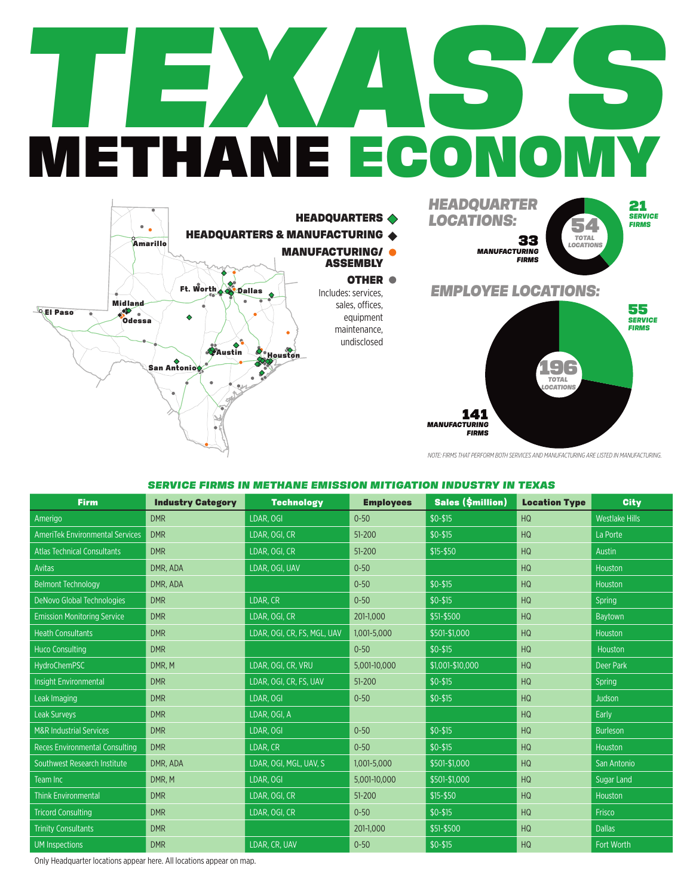## *TEXAS'S* METHANE ECONOMY





*NOTE: FIRMS THAT PERFORM BOTH SERVICES AND MANUFACTURING ARE LISTED IN MANUFACTURING.*

## *SERVICE FIRMS IN METHANE EMISSION MITIGATION INDUSTRY IN TEXAS*

| <b>Firm</b>                            | <b>Industry Category</b> | <b>Technology</b>           | <b>Employees</b> | <b>Sales (\$million)</b> | <b>Location Type</b> | <b>City</b>           |
|----------------------------------------|--------------------------|-----------------------------|------------------|--------------------------|----------------------|-----------------------|
| Amerigo                                | <b>DMR</b>               | LDAR, OGI                   | $0 - 50$         | $$0-$15$                 | <b>HQ</b>            | <b>Westlake Hills</b> |
| <b>AmeriTek Environmental Services</b> | <b>DMR</b>               | LDAR, OGI, CR               | 51-200           | $$0-$15$                 | <b>HQ</b>            | La Porte              |
| <b>Atlas Technical Consultants</b>     | <b>DMR</b>               | LDAR, OGI, CR               | 51-200           | \$15-\$50                | <b>HQ</b>            | <b>Austin</b>         |
| Avitas                                 | DMR, ADA                 | LDAR, OGI, UAV              | $0 - 50$         |                          | <b>HQ</b>            | Houston               |
| <b>Belmont Technology</b>              | DMR, ADA                 |                             | $0 - 50$         | $$0-$15$                 | HQ                   | Houston               |
| DeNovo Global Technologies             | <b>DMR</b>               | LDAR, CR                    | $0 - 50$         | $$0-$15$                 | <b>HQ</b>            | Spring                |
| <b>Emission Monitoring Service</b>     | <b>DMR</b>               | LDAR, OGI, CR               | 201-1,000        | \$51-\$500               | HQ                   | Baytown               |
| <b>Heath Consultants</b>               | <b>DMR</b>               | LDAR, OGI, CR, FS, MGL, UAV | 1,001-5,000      | \$501-\$1,000            | <b>HQ</b>            | Houston               |
| <b>Huco Consulting</b>                 | <b>DMR</b>               |                             | $0 - 50$         | $$0-$15$                 | HQ                   | Houston               |
| HydroChemPSC                           | DMR, M                   | LDAR, OGI, CR, VRU          | 5,001-10,000     | \$1.001-\$10.000         | HQ                   | <b>Deer Park</b>      |
| <b>Insight Environmental</b>           | <b>DMR</b>               | LDAR, OGI, CR, FS, UAV      | 51-200           | $$0-$15$                 | <b>HQ</b>            | Spring                |
| Leak Imaging                           | <b>DMR</b>               | LDAR, OGI                   | $0 - 50$         | $$0-$15$                 | <b>HQ</b>            | <b>Judson</b>         |
| Leak Surveys                           | <b>DMR</b>               | LDAR, OGI, A                |                  |                          | <b>HQ</b>            | Early                 |
| <b>M&amp;R Industrial Services</b>     | <b>DMR</b>               | LDAR, OGI                   | $0 - 50$         | $$0-$15$                 | <b>HQ</b>            | <b>Burleson</b>       |
| <b>Reces Environmental Consulting</b>  | <b>DMR</b>               | LDAR, CR                    | $0 - 50$         | $$0-$15$                 | <b>HQ</b>            | Houston               |
| <b>Southwest Research Institute</b>    | DMR, ADA                 | LDAR, OGI, MGL, UAV, S      | 1,001-5,000      | \$501-\$1,000            | <b>HQ</b>            | San Antonio           |
| Team Inc                               | DMR, M                   | LDAR, OGI                   | 5,001-10,000     | \$501-\$1,000            | HQ                   | <b>Sugar Land</b>     |
| <b>Think Environmental</b>             | <b>DMR</b>               | LDAR, OGI, CR               | 51-200           | \$15-\$50                | <b>HQ</b>            | Houston               |
| <b>Tricord Consulting</b>              | <b>DMR</b>               | LDAR, OGI, CR               | $0 - 50$         | $$0-$15$                 | <b>HQ</b>            | Frisco                |
| <b>Trinity Consultants</b>             | <b>DMR</b>               |                             | 201-1,000        | \$51-\$500               | HQ                   | <b>Dallas</b>         |
| <b>UM</b> Inspections                  | <b>DMR</b>               | LDAR, CR, UAV               | $0 - 50$         | $$0-$15$                 | HQ                   | Fort Worth            |

Only Headquarter locations appear here. All locations appear on map.